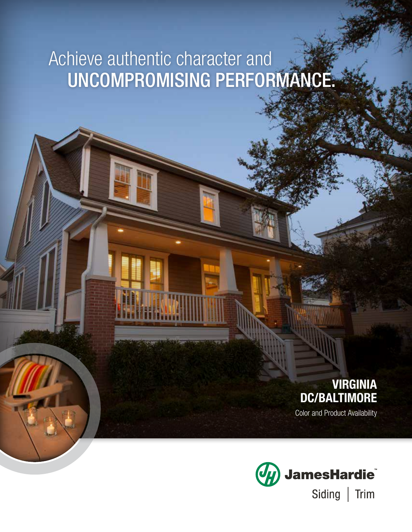# Achieve authentic character and UNCOMPROMISING PERFORMANCE.

# VIRGINIA DC/BALTIMORE

Color and Product Availability

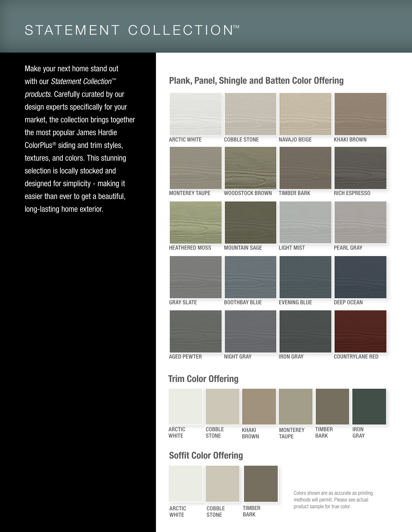# STATEMENT COLLECTION™

Make your next home stand out with our *Statement Collection™ products*. Carefully curated by our design experts specifically for your market, the collection brings together the most popular James Hardie ColorPlus® siding and trim styles, textures, and colors. This stunning selection is locally stocked and designed for simplicity - making it easier than ever to get a beautiful, long-lasting home exterior.

### Plank, Panel, Shingle and Batten Color Offering



## Trim Color Offering



## Soffit Color Offering



Colors shown are as accurate as printing methods will permit. Please see actual product sample for true color.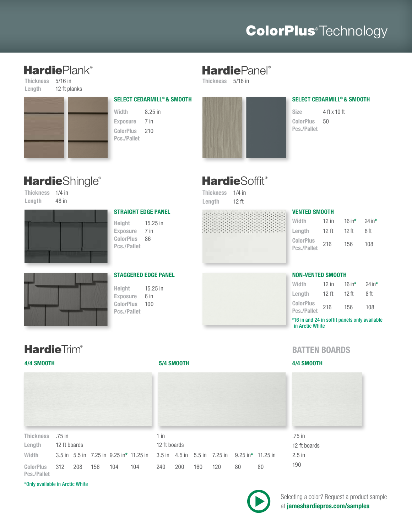# **ColorPlus**<sup>®</sup>Technology

# **Hardie**Plank®

Thickness 5/16 in Length 12 ft planks



Exposure 7 in ColorPlus 210 Pcs./Pallet

#### SELECT CEDARMILL© & SMOOTH

Width 8.25 in

## **Hardie**Panel®

Thickness 5/16 in



#### SELECT CEDARMILL© & SMOOTH

Size 4 ft x 10 ft ColorPlus 50 Pcs./Pallet

# **Hardie**Shingle®

Thickness 1/4 in Length 48 in



#### STRAIGHT EDGE PANEL

Height 15.25 in Exposure 7 in ColorPlus 86 Pcs./Pallet

#### STAGGERED EDGE PANEL

Height 15.25 in Exposure 6 in ColorPlus 100 Pcs./Pallet

# 88888888

**HardieSoffit®** 

Thickness 1/4 in Length 12 ft

### VENTED SMOOTH

| Width                           | $12$ in          | 16 in $*$ | $24$ in* |
|---------------------------------|------------------|-----------|----------|
| Length                          | 12 <sub>ft</sub> | 12 ft     | 8 ft     |
| <b>ColorPlus</b><br>Pcs./Pallet | 216              | 156       | 108      |

#### NON-VENTED SMOOTH

| Width                           | 12 in | 16 in $*$ | 24 in $*$ |
|---------------------------------|-------|-----------|-----------|
| Length                          | 12 ft | 12 ft     | 8 ft      |
| <b>ColorPlus</b><br>Pcs./Pallet | 216   | 156       | 108       |

\*16 in and 24 in soffit panels only available in Arctic White

## **Hardie**Trim®



| Thickness .75 in                | 12 ft boards |     |     |     | 1 in<br>12 ft boards                                                                   |     |     |     |      | .75 i |    |      |
|---------------------------------|--------------|-----|-----|-----|----------------------------------------------------------------------------------------|-----|-----|-----|------|-------|----|------|
| Lenath                          |              |     |     |     |                                                                                        |     |     |     |      | 12 fl |    |      |
| Width                           |              |     |     |     | 3.5 in 5.5 in 7.25 in 9.25 in* 11.25 in 3.5 in 4.5 in 5.5 in 7.25 in 9.25 in* 11.25 in |     |     |     |      |       |    | 2.5i |
| <b>ColorPlus</b><br>Pcs./Pallet | 312          | 208 | 156 | 104 | 104                                                                                    | 240 | 200 | 160 | 120. | 80    | 80 | 190  |

\*Only available in Arctic White

#### 4/4 SMOOTH 5/4 SMOOTH 4/4 SMOOTH



# .75 in ft boards  $\frac{1}{2}$  in



Selecting a color? Request a product sample at jameshardiepros.com/samples

# BATTEN BOARDS